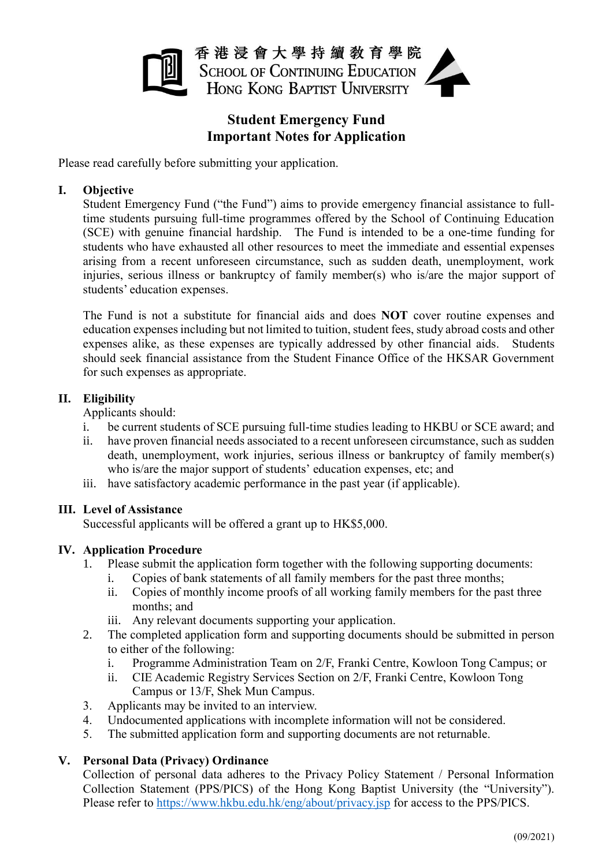

香港浸會大學持續敎育學院 **SCHOOL OF CONTINUING EDUCATION** HONG KONG BAPTIST UNIVERSITY

# **Student Emergency Fund Important Notes for Application**

Please read carefully before submitting your application.

### **I. Objective**

Student Emergency Fund ("the Fund") aims to provide emergency financial assistance to fulltime students pursuing full-time programmes offered by the School of Continuing Education (SCE) with genuine financial hardship. The Fund is intended to be a one-time funding for students who have exhausted all other resources to meet the immediate and essential expenses arising from a recent unforeseen circumstance, such as sudden death, unemployment, work injuries, serious illness or bankruptcy of family member(s) who is/are the major support of students' education expenses.

The Fund is not a substitute for financial aids and does **NOT** cover routine expenses and education expenses including but not limited to tuition, student fees, study abroad costs and other expenses alike, as these expenses are typically addressed by other financial aids. Students should seek financial assistance from the Student Finance Office of the HKSAR Government for such expenses as appropriate.

### **II. Eligibility**

Applicants should:

- i. be current students of SCE pursuing full-time studies leading to HKBU or SCE award; and
- ii. have proven financial needs associated to a recent unforeseen circumstance, such as sudden death, unemployment, work injuries, serious illness or bankruptcy of family member(s) who is/are the major support of students' education expenses, etc; and
- iii. have satisfactory academic performance in the past year (if applicable).

#### **III. Level of Assistance**

Successful applicants will be offered a grant up to HK\$5,000.

### **IV. Application Procedure**

- 1. Please submit the application form together with the following supporting documents:
	- i. Copies of bank statements of all family members for the past three months;
	- ii. Copies of monthly income proofs of all working family members for the past three months; and
	- iii. Any relevant documents supporting your application.
- 2. The completed application form and supporting documents should be submitted in person to either of the following:
	- i. Programme Administration Team on 2/F, Franki Centre, Kowloon Tong Campus; or
	- ii. CIE Academic Registry Services Section on 2/F, Franki Centre, Kowloon Tong Campus or 13/F, Shek Mun Campus.
- 3. Applicants may be invited to an interview.
- 4. Undocumented applications with incomplete information will not be considered.
- 5. The submitted application form and supporting documents are not returnable.

### **V. Personal Data (Privacy) Ordinance**

Collection of personal data adheres to the Privacy Policy Statement / Personal Information Collection Statement (PPS/PICS) of the Hong Kong Baptist University (the "University"). Please refer to<https://www.hkbu.edu.hk/eng/about/privacy.jsp> for access to the PPS/PICS.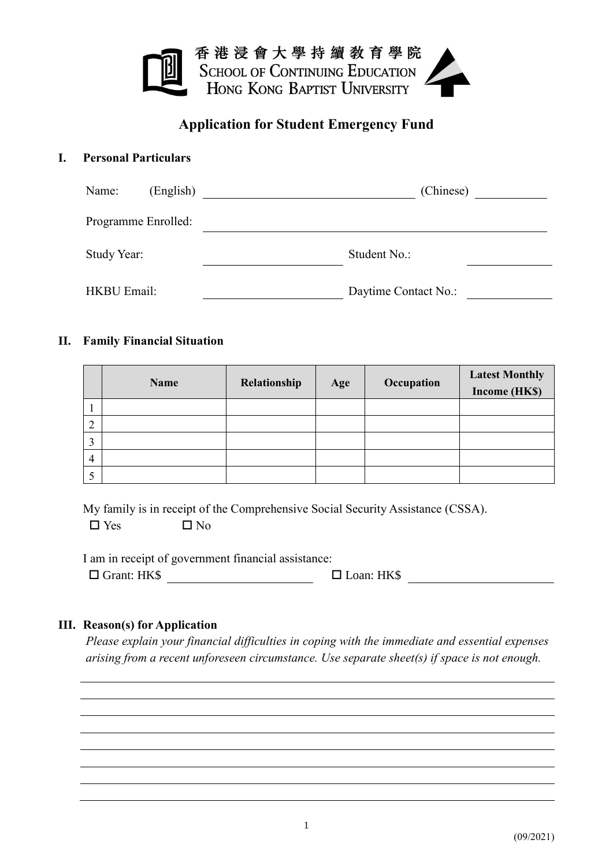

## **Application for Student Emergency Fund**

### **I. Personal Particulars**

| Name:              | (English)           | (Chinese)            |
|--------------------|---------------------|----------------------|
|                    | Programme Enrolled: |                      |
| Study Year:        |                     | Student No.:         |
| <b>HKBU Email:</b> |                     | Daytime Contact No.: |

## **II. Family Financial Situation**

|             | <b>Name</b> | Relationship | Age | Occupation | <b>Latest Monthly</b><br>Income (HK\$) |
|-------------|-------------|--------------|-----|------------|----------------------------------------|
|             |             |              |     |            |                                        |
| ◠           |             |              |     |            |                                        |
| $\mathbf 2$ |             |              |     |            |                                        |
| 4           |             |              |     |            |                                        |
|             |             |              |     |            |                                        |

My family is in receipt of the Comprehensive Social Security Assistance (CSSA).  $\n **W**$   $\blacksquare$   $\blacksquare$   $\blacksquare$   $\blacksquare$   $\blacksquare$   $\blacksquare$ 

I am in receipt of government financial assistance:

Grant: HK\$ Loan: HK\$

### **III. Reason(s) for Application**

*Please explain your financial difficulties in coping with the immediate and essential expenses arising from a recent unforeseen circumstance. Use separate sheet(s) if space is not enough.*